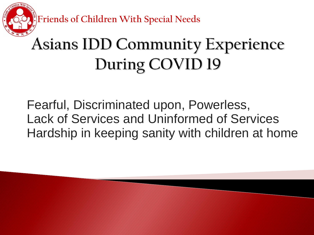**Friends of Children With Special Needs**

#### **Asians IDD Community Experience** During COVID 19

Fearful, Discriminated upon, Powerless, Lack of Services and Uninformed of Services Hardship in keeping sanity with children at home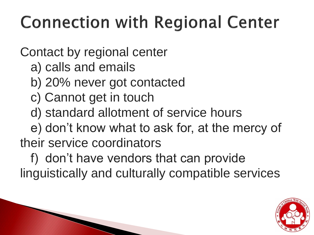#### **Connection with Regional Center**

Contact by regional center

a) calls and emails

- b) 20% never got contacted
- c) Cannot get in touch
- d) standard allotment of service hours

 e) don't know what to ask for, at the mercy of their service coordinators

 f) don't have vendors that can provide linguistically and culturally compatible services

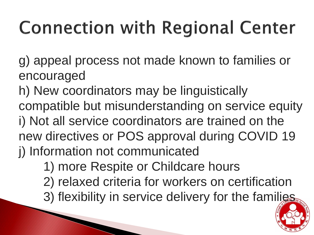# **Connection with Regional Center**

g) appeal process not made known to families or encouraged

h) New coordinators may be linguistically compatible but misunderstanding on service equity i) Not all service coordinators are trained on the new directives or POS approval during COVID 19 j) Information not communicated

1) more Respite or Childcare hours

- 2) relaxed criteria for workers on certification
- 3) flexibility in service delivery for the families

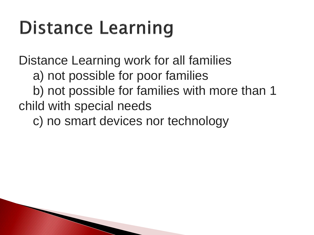### **Distance Learning**

**The Common Second Service** 

Distance Learning work for all families a) not possible for poor families b) not possible for families with more than 1 child with special needs

c) no smart devices nor technology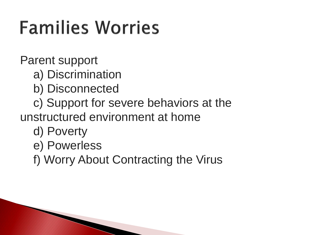### **Families Worries**

Parent support

a) Discrimination

- b) Disconnected
- c) Support for severe behaviors at the unstructured environment at home
	- d) Poverty
	- e) Powerless
	- f) Worry About Contracting the Virus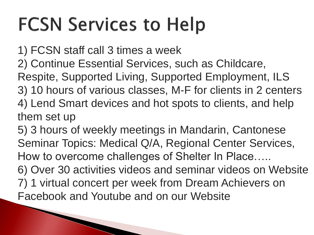### **FCSN Services to Help**

1) FCSN staff call 3 times a week 2) Continue Essential Services, such as Childcare, Respite, Supported Living, Supported Employment, ILS

3) 10 hours of various classes, M-F for clients in 2 centers 4) Lend Smart devices and hot spots to clients, and help them set up

5) 3 hours of weekly meetings in Mandarin, Cantonese Seminar Topics: Medical Q/A, Regional Center Services, How to overcome challenges of Shelter In Place…..

6) Over 30 activities videos and seminar videos on Website 7) 1 virtual concert per week from Dream Achievers on Facebook and Youtube and on our Website